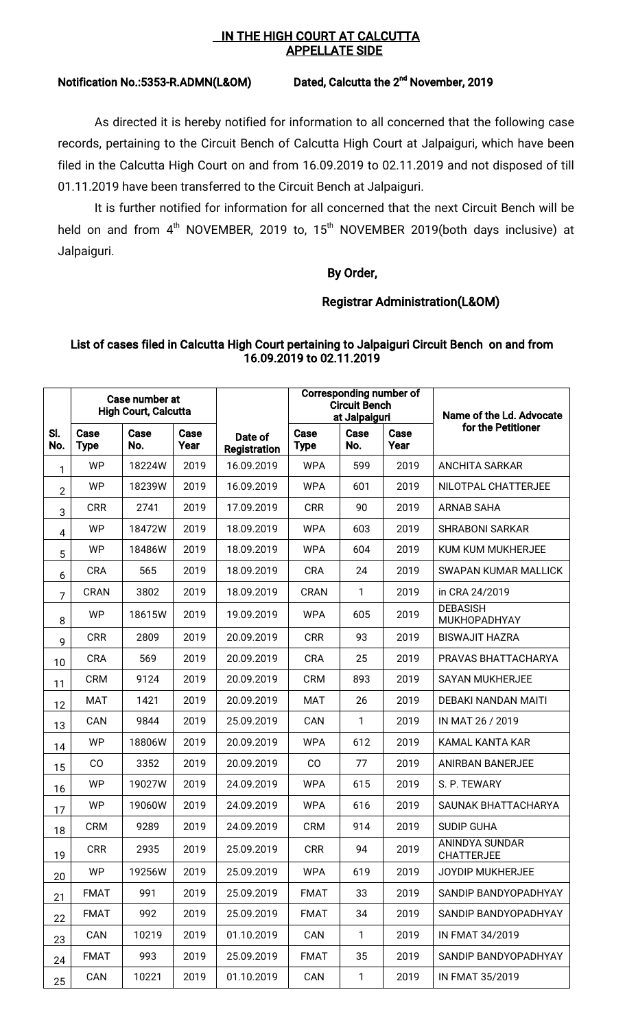#### IN THE HIGH COURT AT CALCUTTA **APPELLATE SIDE**

# Notification No.:5353-R.ADMN(L&OM) Dated, Calcutta the 2<sup>nd</sup> November, 2019

As directed it is hereby notified for information to all concerned that the following case records, pertaining to the Circuit Bench of Calcutta High Court at Jalpaiguri, which have been filed in the Calcutta High Court on and from 16.09.2019 to 02.11.2019 and not disposed of till 01.11.2019 have been transferred to the Circuit Bench at Jalpaiguri.

It is further notified for information for all concerned that the next Circuit Bench will be held on and from  $4<sup>th</sup>$  NOVEMBER, 2019 to, 15<sup>th</sup> NOVEMBER 2019(both days inclusive) at Jalpaiguri.

## By Order,

## Registrar Administration(L&OM)

#### List of cases filed in Calcutta High Court pertaining to Jalpaiguri Circuit Bench on and from 16.09.2019 to 02.11.2019

|                | Case number at<br><b>High Court, Calcutta</b> |             |              |                         | Corresponding number of<br><b>Circuit Bench</b><br>at Jalpaiguri |             |              | Name of the Ld. Advocate               |  |
|----------------|-----------------------------------------------|-------------|--------------|-------------------------|------------------------------------------------------------------|-------------|--------------|----------------------------------------|--|
| SI.<br>No.     | Case<br><b>Type</b>                           | Case<br>No. | Case<br>Year | Date of<br>Registration | Case<br><b>Type</b>                                              | Case<br>No. | Case<br>Year | for the Petitioner                     |  |
| 1              | <b>WP</b>                                     | 18224W      | 2019         | 16.09.2019              | <b>WPA</b>                                                       | 599         | 2019         | <b>ANCHITA SARKAR</b>                  |  |
| $\overline{2}$ | <b>WP</b>                                     | 18239W      | 2019         | 16.09.2019              | <b>WPA</b>                                                       | 601         | 2019         | NILOTPAL CHATTERJEE                    |  |
| 3              | <b>CRR</b>                                    | 2741        | 2019         | 17.09.2019              | <b>CRR</b>                                                       | 90          | 2019         | <b>ARNAB SAHA</b>                      |  |
| 4              | <b>WP</b>                                     | 18472W      | 2019         | 18.09.2019              | <b>WPA</b>                                                       | 603         | 2019         | <b>SHRABONI SARKAR</b>                 |  |
| 5              | <b>WP</b>                                     | 18486W      | 2019         | 18.09.2019              | <b>WPA</b>                                                       | 604         | 2019         | KUM KUM MUKHERJEE                      |  |
| 6              | <b>CRA</b>                                    | 565         | 2019         | 18.09.2019              | <b>CRA</b>                                                       | 24          | 2019         | <b>SWAPAN KUMAR MALLICK</b>            |  |
| 7              | <b>CRAN</b>                                   | 3802        | 2019         | 18.09.2019              | <b>CRAN</b>                                                      | 1           | 2019         | in CRA 24/2019                         |  |
| 8              | <b>WP</b>                                     | 18615W      | 2019         | 19.09.2019              | <b>WPA</b>                                                       | 605         | 2019         | <b>DEBASISH</b><br><b>MUKHOPADHYAY</b> |  |
| 9              | <b>CRR</b>                                    | 2809        | 2019         | 20.09.2019              | <b>CRR</b>                                                       | 93          | 2019         | <b>BISWAJIT HAZRA</b>                  |  |
| 10             | CRA                                           | 569         | 2019         | 20.09.2019              | <b>CRA</b>                                                       | 25          | 2019         | PRAVAS BHATTACHARYA                    |  |
| 11             | <b>CRM</b>                                    | 9124        | 2019         | 20.09.2019              | <b>CRM</b>                                                       | 893         | 2019         | <b>SAYAN MUKHERJEE</b>                 |  |
| 12             | <b>MAT</b>                                    | 1421        | 2019         | 20.09.2019              | <b>MAT</b>                                                       | 26          | 2019         | DEBAKI NANDAN MAITI                    |  |
| 13             | CAN                                           | 9844        | 2019         | 25.09.2019              | CAN                                                              | 1           | 2019         | IN MAT 26 / 2019                       |  |
| 14             | <b>WP</b>                                     | 18806W      | 2019         | 20.09.2019              | <b>WPA</b>                                                       | 612         | 2019         | KAMAL KANTA KAR                        |  |
| 15             | CO                                            | 3352        | 2019         | 20.09.2019              | CO                                                               | 77          | 2019         | ANIRBAN BANERJEE                       |  |
| 16             | <b>WP</b>                                     | 19027W      | 2019         | 24.09.2019              | <b>WPA</b>                                                       | 615         | 2019         | S. P. TEWARY                           |  |
| 17             | <b>WP</b>                                     | 19060W      | 2019         | 24.09.2019              | <b>WPA</b>                                                       | 616         | 2019         | SAUNAK BHATTACHARYA                    |  |
| 18             | <b>CRM</b>                                    | 9289        | 2019         | 24.09.2019              | <b>CRM</b>                                                       | 914         | 2019         | <b>SUDIP GUHA</b>                      |  |
| 19             | <b>CRR</b>                                    | 2935        | 2019         | 25.09.2019              | <b>CRR</b>                                                       | 94          | 2019         | ANINDYA SUNDAR<br><b>CHATTERJEE</b>    |  |
| 20             | <b>WP</b>                                     | 19256W      | 2019         | 25.09.2019              | <b>WPA</b>                                                       | 619         | 2019         | <b>JOYDIP MUKHERJEE</b>                |  |
| 21             | <b>FMAT</b>                                   | 991         | 2019         | 25.09.2019              | <b>FMAT</b>                                                      | 33          | 2019         | SANDIP BANDYOPADHYAY                   |  |
| 22             | <b>FMAT</b>                                   | 992         | 2019         | 25.09.2019              | <b>FMAT</b>                                                      | 34          | 2019         | SANDIP BANDYOPADHYAY                   |  |
| 23             | CAN                                           | 10219       | 2019         | 01.10.2019              | CAN                                                              | 1           | 2019         | IN FMAT 34/2019                        |  |
| 24             | <b>FMAT</b>                                   | 993         | 2019         | 25.09.2019              | <b>FMAT</b>                                                      | 35          | 2019         | SANDIP BANDYOPADHYAY                   |  |
| 25             | CAN                                           | 10221       | 2019         | 01.10.2019              | CAN                                                              | 1           | 2019         | IN FMAT 35/2019                        |  |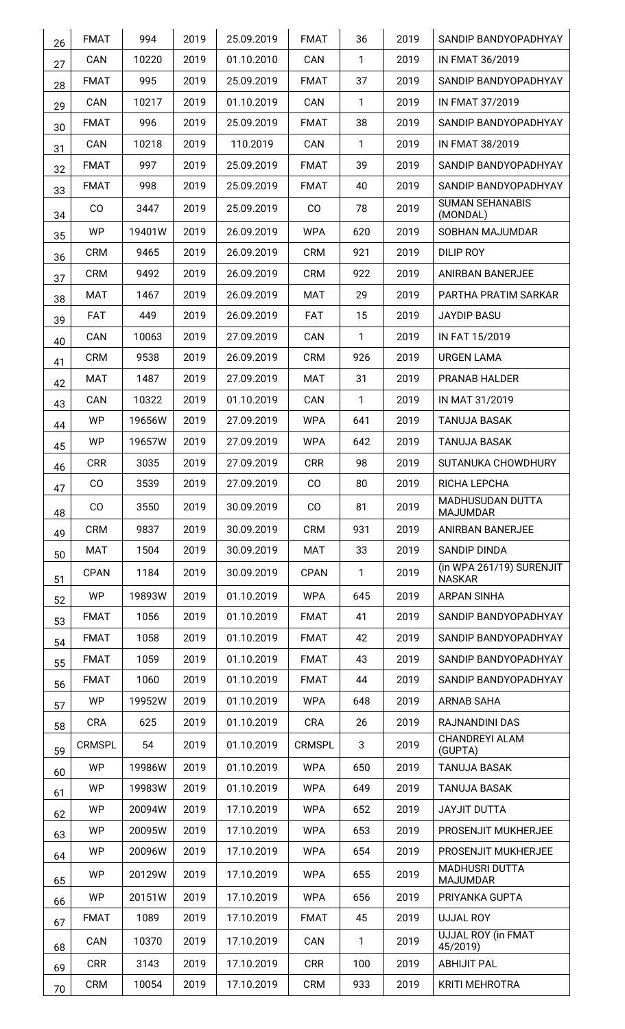| 26                                                                         | <b>FMAT</b>                                                                                 | 994                                                            | 2019                                                         | 25.09.2019                                                                                                   | <b>FMAT</b>                                                                                                    | 36                                                 | 2019                                                 | SANDIP BANDYOPADHYAY                                                                                                                            |
|----------------------------------------------------------------------------|---------------------------------------------------------------------------------------------|----------------------------------------------------------------|--------------------------------------------------------------|--------------------------------------------------------------------------------------------------------------|----------------------------------------------------------------------------------------------------------------|----------------------------------------------------|------------------------------------------------------|-------------------------------------------------------------------------------------------------------------------------------------------------|
| 27                                                                         | CAN                                                                                         | 10220                                                          | 2019                                                         | 01.10.2010                                                                                                   | CAN                                                                                                            | $\mathbf{1}$                                       | 2019                                                 | IN FMAT 36/2019                                                                                                                                 |
| 28                                                                         | <b>FMAT</b>                                                                                 | 995                                                            | 2019                                                         | 25.09.2019                                                                                                   | <b>FMAT</b>                                                                                                    | 37                                                 | 2019                                                 | SANDIP BANDYOPADHYAY                                                                                                                            |
| 29                                                                         | CAN                                                                                         | 10217                                                          | 2019                                                         | 01.10.2019                                                                                                   | CAN                                                                                                            | $\mathbf{1}$                                       | 2019                                                 | IN FMAT 37/2019                                                                                                                                 |
| 30                                                                         | <b>FMAT</b>                                                                                 | 996                                                            | 2019                                                         | 25.09.2019                                                                                                   | <b>FMAT</b>                                                                                                    | 38                                                 | 2019                                                 | SANDIP BANDYOPADHYAY                                                                                                                            |
| 31                                                                         | CAN                                                                                         | 10218                                                          | 2019                                                         | 110.2019                                                                                                     | CAN                                                                                                            | $\mathbf{1}$                                       | 2019                                                 | IN FMAT 38/2019                                                                                                                                 |
| 32                                                                         | <b>FMAT</b>                                                                                 | 997                                                            | 2019                                                         | 25.09.2019                                                                                                   | <b>FMAT</b>                                                                                                    | 39                                                 | 2019                                                 | SANDIP BANDYOPADHYAY                                                                                                                            |
| 33                                                                         | <b>FMAT</b>                                                                                 | 998                                                            | 2019                                                         | 25.09.2019                                                                                                   | <b>FMAT</b>                                                                                                    | 40                                                 | 2019                                                 | SANDIP BANDYOPADHYAY                                                                                                                            |
| 34                                                                         | $\rm CO$                                                                                    | 3447                                                           | 2019                                                         | 25.09.2019                                                                                                   | $_{\rm CO}$                                                                                                    | 78                                                 | 2019                                                 | <b>SUMAN SEHANABIS</b><br>(MONDAL)                                                                                                              |
| 35                                                                         | WP                                                                                          | 19401W                                                         | 2019                                                         | 26.09.2019                                                                                                   | <b>WPA</b>                                                                                                     | 620                                                | 2019                                                 | SOBHAN MAJUMDAR                                                                                                                                 |
| 36                                                                         | <b>CRM</b>                                                                                  | 9465                                                           | 2019                                                         | 26.09.2019                                                                                                   | <b>CRM</b>                                                                                                     | 921                                                | 2019                                                 | DILIP ROY                                                                                                                                       |
| 37                                                                         | <b>CRM</b>                                                                                  | 9492                                                           | 2019                                                         | 26.09.2019                                                                                                   | <b>CRM</b>                                                                                                     | 922                                                | 2019                                                 | <b>ANIRBAN BANERJEE</b>                                                                                                                         |
| 38                                                                         | MAT                                                                                         | 1467                                                           | 2019                                                         | 26.09.2019                                                                                                   | <b>MAT</b>                                                                                                     | 29                                                 | 2019                                                 | PARTHA PRATIM SARKAR                                                                                                                            |
| 39                                                                         | <b>FAT</b>                                                                                  | 449                                                            | 2019                                                         | 26.09.2019                                                                                                   | <b>FAT</b>                                                                                                     | 15                                                 | 2019                                                 | <b>JAYDIP BASU</b>                                                                                                                              |
| 40                                                                         | CAN                                                                                         | 10063                                                          | 2019                                                         | 27.09.2019                                                                                                   | CAN                                                                                                            | $\mathbf{1}$                                       | 2019                                                 | IN FAT 15/2019                                                                                                                                  |
| 41                                                                         | <b>CRM</b>                                                                                  | 9538                                                           | 2019                                                         | 26.09.2019                                                                                                   | <b>CRM</b>                                                                                                     | 926                                                | 2019                                                 | <b>URGEN LAMA</b>                                                                                                                               |
| 42                                                                         | MAT                                                                                         | 1487                                                           | 2019                                                         | 27.09.2019                                                                                                   | MAT                                                                                                            | 31                                                 | 2019                                                 | PRANAB HALDER                                                                                                                                   |
| 43                                                                         | CAN                                                                                         | 10322                                                          | 2019                                                         | 01.10.2019                                                                                                   | CAN                                                                                                            | 1                                                  | 2019                                                 | IN MAT 31/2019                                                                                                                                  |
| 44                                                                         | <b>WP</b>                                                                                   | 19656W                                                         | 2019                                                         | 27.09.2019                                                                                                   | <b>WPA</b>                                                                                                     | 641                                                | 2019                                                 | <b>TANUJA BASAK</b>                                                                                                                             |
| 45                                                                         | <b>WP</b>                                                                                   | 19657W                                                         | 2019                                                         | 27.09.2019                                                                                                   | <b>WPA</b>                                                                                                     | 642                                                | 2019                                                 | <b>TANUJA BASAK</b>                                                                                                                             |
| 46                                                                         | <b>CRR</b>                                                                                  | 3035                                                           | 2019                                                         | 27.09.2019                                                                                                   | <b>CRR</b>                                                                                                     | 98                                                 | 2019                                                 | SUTANUKA CHOWDHURY                                                                                                                              |
| 47                                                                         | CO                                                                                          | 3539                                                           | 2019                                                         | 27.09.2019                                                                                                   | CO                                                                                                             | 80                                                 | 2019                                                 | RICHA LEPCHA                                                                                                                                    |
| 48                                                                         | CO                                                                                          | 3550                                                           | 2019                                                         | 30.09.2019                                                                                                   | CO                                                                                                             | 81                                                 | 2019                                                 | MADHUSUDAN DUTTA<br><b>MAJUMDAR</b>                                                                                                             |
| 49                                                                         | <b>CRM</b>                                                                                  | 9837                                                           | 2019                                                         | 30.09.2019                                                                                                   | <b>CRM</b>                                                                                                     | 931                                                | 2019                                                 | ANIRBAN BANERJEE                                                                                                                                |
| 50                                                                         | <b>MAT</b>                                                                                  | 1504                                                           | 2019                                                         | 30.09.2019                                                                                                   | <b>MAT</b>                                                                                                     | 33                                                 | 2019                                                 | <b>SANDIP DINDA</b>                                                                                                                             |
| 51                                                                         | <b>CPAN</b>                                                                                 | 1184                                                           | 2019                                                         | 30.09.2019                                                                                                   | <b>CPAN</b>                                                                                                    | $\mathbf{1}$                                       | 2019                                                 | (in WPA 261/19) SURENJIT<br><b>NASKAR</b>                                                                                                       |
| 52                                                                         | <b>WP</b>                                                                                   | 19893W                                                         | 2019                                                         | 01.10.2019                                                                                                   | <b>WPA</b>                                                                                                     | 645                                                | 2019                                                 | <b>ARPAN SINHA</b>                                                                                                                              |
| 53                                                                         | <b>FMAT</b>                                                                                 | 1056                                                           | 2019                                                         | 01.10.2019                                                                                                   | <b>FMAT</b>                                                                                                    | 41                                                 | 2019                                                 | SANDIP BANDYOPADHYAY                                                                                                                            |
| 54                                                                         | <b>FMAT</b>                                                                                 | 1058                                                           | 2019                                                         | 01.10.2019                                                                                                   | <b>FMAT</b>                                                                                                    | 42                                                 | 2019                                                 | SANDIP BANDYOPADHYAY                                                                                                                            |
|                                                                            | <b>FMAT</b>                                                                                 | 1059                                                           | 2019                                                         | 01.10.2019                                                                                                   | <b>FMAT</b>                                                                                                    | 43                                                 | 2019                                                 | SANDIP BANDYOPADHYAY                                                                                                                            |
|                                                                            |                                                                                             |                                                                |                                                              |                                                                                                              |                                                                                                                |                                                    |                                                      | SANDIP BANDYOPADHYAY                                                                                                                            |
|                                                                            |                                                                                             |                                                                |                                                              |                                                                                                              |                                                                                                                |                                                    |                                                      |                                                                                                                                                 |
|                                                                            | <b>CRA</b>                                                                                  | 625                                                            | 2019                                                         | 01.10.2019                                                                                                   | <b>CRA</b>                                                                                                     | 26                                                 | 2019                                                 | RAJNANDINI DAS                                                                                                                                  |
|                                                                            | <b>CRMSPL</b>                                                                               | 54                                                             | 2019                                                         | 01.10.2019                                                                                                   | <b>CRMSPL</b>                                                                                                  | $\sqrt{3}$                                         | 2019                                                 | CHANDREYI ALAM                                                                                                                                  |
|                                                                            |                                                                                             |                                                                |                                                              |                                                                                                              |                                                                                                                |                                                    |                                                      |                                                                                                                                                 |
|                                                                            | <b>WP</b>                                                                                   | 19983W                                                         | 2019                                                         | 01.10.2019                                                                                                   | <b>WPA</b>                                                                                                     | 649                                                | 2019                                                 | <b>TANUJA BASAK</b>                                                                                                                             |
|                                                                            |                                                                                             |                                                                |                                                              |                                                                                                              |                                                                                                                |                                                    |                                                      |                                                                                                                                                 |
|                                                                            | <b>WP</b>                                                                                   | 20095W                                                         |                                                              |                                                                                                              |                                                                                                                |                                                    | 2019                                                 | PROSENJIT MUKHERJEE                                                                                                                             |
|                                                                            |                                                                                             |                                                                |                                                              |                                                                                                              |                                                                                                                |                                                    |                                                      | PROSENJIT MUKHERJEE                                                                                                                             |
|                                                                            | <b>WP</b>                                                                                   | 20129W                                                         | 2019                                                         | 17.10.2019                                                                                                   | <b>WPA</b>                                                                                                     | 655                                                | 2019                                                 | <b>MADHUSRI DUTTA</b>                                                                                                                           |
|                                                                            |                                                                                             |                                                                |                                                              |                                                                                                              |                                                                                                                |                                                    |                                                      |                                                                                                                                                 |
|                                                                            |                                                                                             |                                                                |                                                              |                                                                                                              |                                                                                                                |                                                    |                                                      |                                                                                                                                                 |
|                                                                            | CAN                                                                                         | 10370                                                          | 2019                                                         | 17.10.2019                                                                                                   | CAN                                                                                                            | 1                                                  | 2019                                                 | UJJAL ROY (in FMAT                                                                                                                              |
|                                                                            |                                                                                             |                                                                |                                                              |                                                                                                              |                                                                                                                |                                                    |                                                      |                                                                                                                                                 |
| 68<br>69                                                                   | <b>CRR</b>                                                                                  | 3143                                                           | 2019                                                         | 17.10.2019                                                                                                   | <b>CRR</b>                                                                                                     | 100                                                | 2019                                                 | <b>ABHIJIT PAL</b>                                                                                                                              |
| 55<br>56<br>57<br>58<br>59<br>60<br>61<br>62<br>63<br>64<br>65<br>66<br>67 | <b>FMAT</b><br><b>WP</b><br><b>WP</b><br><b>WP</b><br><b>WP</b><br><b>WP</b><br><b>FMAT</b> | 1060<br>19952W<br>19986W<br>20094W<br>20096W<br>20151W<br>1089 | 2019<br>2019<br>2019<br>2019<br>2019<br>2019<br>2019<br>2019 | 01.10.2019<br>01.10.2019<br>01.10.2019<br>17.10.2019<br>17.10.2019<br>17.10.2019<br>17.10.2019<br>17.10.2019 | <b>FMAT</b><br><b>WPA</b><br><b>WPA</b><br><b>WPA</b><br><b>WPA</b><br><b>WPA</b><br><b>WPA</b><br><b>FMAT</b> | 44<br>648<br>650<br>652<br>653<br>654<br>656<br>45 | 2019<br>2019<br>2019<br>2019<br>2019<br>2019<br>2019 | <b>ARNAB SAHA</b><br>(GUPTA)<br><b>TANUJA BASAK</b><br><b>JAYJIT DUTTA</b><br><b>MAJUMDAR</b><br>PRIYANKA GUPTA<br><b>UJJAL ROY</b><br>45/2019) |